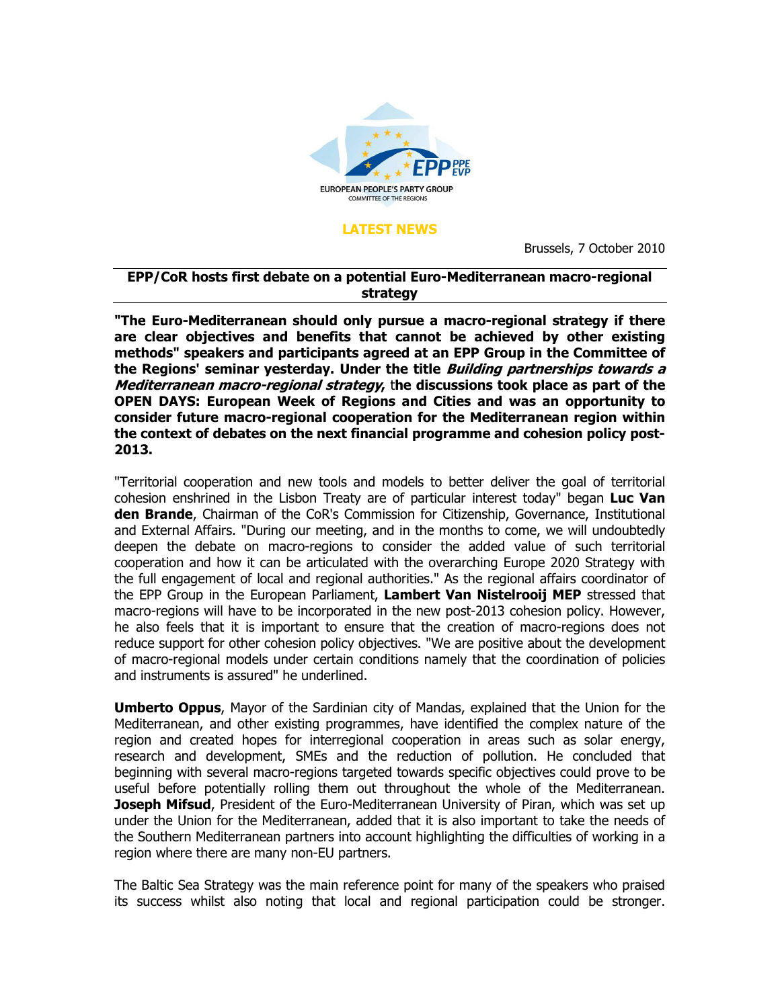

## LATEST NEWS

Brussels, 7 October 2010

## EPP/CoR hosts first debate on a potential Euro-Mediterranean macro-regional strategy

"The Euro-Mediterranean should only pursue a macro-regional strategy if there are clear objectives and benefits that cannot be achieved by other existing methods" speakers and participants agreed at an EPP Group in the Committee of the Regions' seminar yesterday. Under the title *Building partnerships towards a* Mediterranean macro-regional strategy, the discussions took place as part of the OPEN DAYS: European Week of Regions and Cities and was an opportunity to consider future macro-regional cooperation for the Mediterranean region within the context of debates on the next financial programme and cohesion policy post-2013.

"Territorial cooperation and new tools and models to better deliver the goal of territorial cohesion enshrined in the Lisbon Treaty are of particular interest today" began Luc Van **den Brande**, Chairman of the CoR's Commission for Citizenship, Governance, Institutional and External Affairs. "During our meeting, and in the months to come, we will undoubtedly deepen the debate on macro-regions to consider the added value of such territorial cooperation and how it can be articulated with the overarching Europe 2020 Strategy with the full engagement of local and regional authorities." As the regional affairs coordinator of the EPP Group in the European Parliament, Lambert Van Nistelrooij MEP stressed that macro-regions will have to be incorporated in the new post-2013 cohesion policy. However, he also feels that it is important to ensure that the creation of macro-regions does not reduce support for other cohesion policy objectives. "We are positive about the development of macro-regional models under certain conditions namely that the coordination of policies and instruments is assured" he underlined.

Umberto Oppus, Mayor of the Sardinian city of Mandas, explained that the Union for the Mediterranean, and other existing programmes, have identified the complex nature of the region and created hopes for interregional cooperation in areas such as solar energy, research and development, SMEs and the reduction of pollution. He concluded that beginning with several macro-regions targeted towards specific objectives could prove to be useful before potentially rolling them out throughout the whole of the Mediterranean. Joseph Mifsud, President of the Euro-Mediterranean University of Piran, which was set up under the Union for the Mediterranean, added that it is also important to take the needs of the Southern Mediterranean partners into account highlighting the difficulties of working in a region where there are many non-EU partners.

The Baltic Sea Strategy was the main reference point for many of the speakers who praised its success whilst also noting that local and regional participation could be stronger.